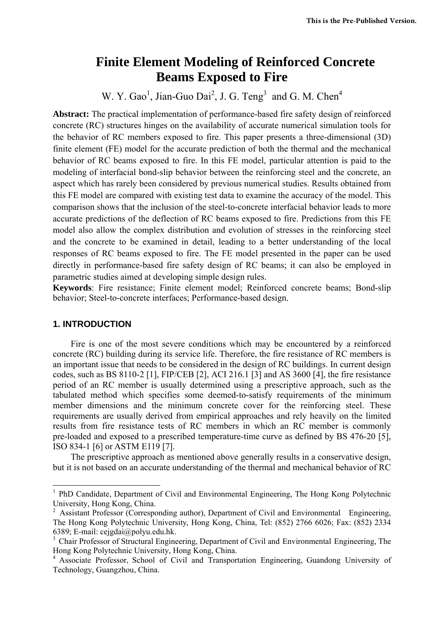# **Finite Element Modeling of Reinforced Concrete Beams Exposed to Fire**

W. Y. Gao<sup>1</sup>, Jian-Guo Dai<sup>2</sup>, J. G. Teng<sup>3</sup> and G. M. Chen<sup>4</sup>

**Abstract:** The practical implementation of performance-based fire safety design of reinforced concrete (RC) structures hinges on the availability of accurate numerical simulation tools for the behavior of RC members exposed to fire. This paper presents a three-dimensional (3D) finite element (FE) model for the accurate prediction of both the thermal and the mechanical behavior of RC beams exposed to fire. In this FE model, particular attention is paid to the modeling of interfacial bond-slip behavior between the reinforcing steel and the concrete, an aspect which has rarely been considered by previous numerical studies. Results obtained from this FE model are compared with existing test data to examine the accuracy of the model. This comparison shows that the inclusion of the steel-to-concrete interfacial behavior leads to more accurate predictions of the deflection of RC beams exposed to fire. Predictions from this FE model also allow the complex distribution and evolution of stresses in the reinforcing steel and the concrete to be examined in detail, leading to a better understanding of the local responses of RC beams exposed to fire. The FE model presented in the paper can be used directly in performance-based fire safety design of RC beams; it can also be employed in parametric studies aimed at developing simple design rules.

**Keywords**: Fire resistance; Finite element model; Reinforced concrete beams; Bond-slip behavior; Steel-to-concrete interfaces; Performance-based design.

# **1. INTRODUCTION**

<u> Andrew Maria (1989)</u>

Fire is one of the most severe conditions which may be encountered by a reinforced concrete (RC) building during its service life. Therefore, the fire resistance of RC members is an important issue that needs to be considered in the design of RC buildings. In current design codes, such as BS 8110-2 [1], FIP/CEB [2], ACI 216.1 [3] and AS 3600 [4], the fire resistance period of an RC member is usually determined using a prescriptive approach, such as the tabulated method which specifies some deemed-to-satisfy requirements of the minimum member dimensions and the minimum concrete cover for the reinforcing steel. These requirements are usually derived from empirical approaches and rely heavily on the limited results from fire resistance tests of RC members in which an RC member is commonly pre-loaded and exposed to a prescribed temperature-time curve as defined by BS 476-20 [5], ISO 834-1 [6] or ASTM E119 [7].

The prescriptive approach as mentioned above generally results in a conservative design, but it is not based on an accurate understanding of the thermal and mechanical behavior of RC

<sup>&</sup>lt;sup>1</sup> PhD Candidate, Department of Civil and Environmental Engineering, The Hong Kong Polytechnic University, Hong Kong, China.

<sup>&</sup>lt;sup>2</sup> Assistant Professor (Corresponding author), Department of Civil and Environmental Engineering, The Hong Kong Polytechnic University, Hong Kong, China, Tel: (852) 2766 6026; Fax: (852) 2334 6389; E-mail: cejgdai@polyu.edu.hk.

<sup>&</sup>lt;sup>3</sup> Chair Professor of Structural Engineering, Department of Civil and Environmental Engineering, The Hong Kong Polytechnic University, Hong Kong, China. 4

<sup>&</sup>lt;sup>4</sup> Associate Professor, School of Civil and Transportation Engineering, Guandong University of Technology, Guangzhou, China.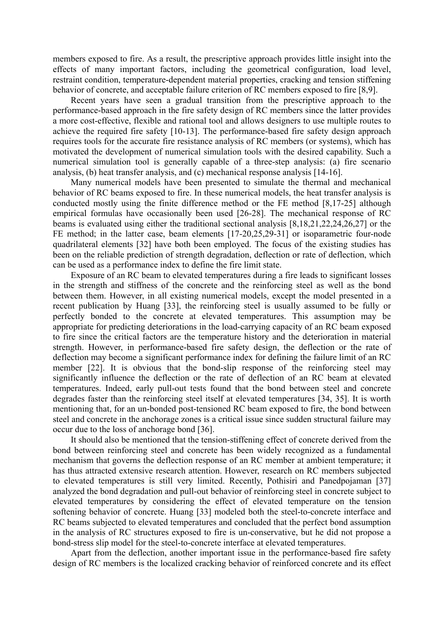members exposed to fire. As a result, the prescriptive approach provides little insight into the effects of many important factors, including the geometrical configuration, load level, restraint condition, temperature-dependent material properties, cracking and tension stiffening behavior of concrete, and acceptable failure criterion of RC members exposed to fire [8,9].

Recent years have seen a gradual transition from the prescriptive approach to the performance-based approach in the fire safety design of RC members since the latter provides a more cost-effective, flexible and rational tool and allows designers to use multiple routes to achieve the required fire safety [10-13]. The performance-based fire safety design approach requires tools for the accurate fire resistance analysis of RC members (or systems), which has motivated the development of numerical simulation tools with the desired capability. Such a numerical simulation tool is generally capable of a three-step analysis: (a) fire scenario analysis, (b) heat transfer analysis, and (c) mechanical response analysis [14-16].

Many numerical models have been presented to simulate the thermal and mechanical behavior of RC beams exposed to fire. In these numerical models, the heat transfer analysis is conducted mostly using the finite difference method or the FE method [8,17-25] although empirical formulas have occasionally been used [26-28]. The mechanical response of RC beams is evaluated using either the traditional sectional analysis [8,18,21,22,24,26,27] or the FE method; in the latter case, beam elements [17-20,25,29-31] or isoparametric four-node quadrilateral elements [32] have both been employed. The focus of the existing studies has been on the reliable prediction of strength degradation, deflection or rate of deflection, which can be used as a performance index to define the fire limit state.

Exposure of an RC beam to elevated temperatures during a fire leads to significant losses in the strength and stiffness of the concrete and the reinforcing steel as well as the bond between them. However, in all existing numerical models, except the model presented in a recent publication by Huang [33], the reinforcing steel is usually assumed to be fully or perfectly bonded to the concrete at elevated temperatures. This assumption may be appropriate for predicting deteriorations in the load-carrying capacity of an RC beam exposed to fire since the critical factors are the temperature history and the deterioration in material strength. However, in performance-based fire safety design, the deflection or the rate of deflection may become a significant performance index for defining the failure limit of an RC member [22]. It is obvious that the bond-slip response of the reinforcing steel may significantly influence the deflection or the rate of deflection of an RC beam at elevated temperatures. Indeed, early pull-out tests found that the bond between steel and concrete degrades faster than the reinforcing steel itself at elevated temperatures [34, 35]. It is worth mentioning that, for an un-bonded post-tensioned RC beam exposed to fire, the bond between steel and concrete in the anchorage zones is a critical issue since sudden structural failure may occur due to the loss of anchorage bond [36].

It should also be mentioned that the tension-stiffening effect of concrete derived from the bond between reinforcing steel and concrete has been widely recognized as a fundamental mechanism that governs the deflection response of an RC member at ambient temperature; it has thus attracted extensive research attention. However, research on RC members subjected to elevated temperatures is still very limited. Recently, Pothisiri and Panedpojaman [37] analyzed the bond degradation and pull-out behavior of reinforcing steel in concrete subject to elevated temperatures by considering the effect of elevated temperature on the tension softening behavior of concrete. Huang [33] modeled both the steel-to-concrete interface and RC beams subjected to elevated temperatures and concluded that the perfect bond assumption in the analysis of RC structures exposed to fire is un-conservative, but he did not propose a bond-stress slip model for the steel-to-concrete interface at elevated temperatures.

Apart from the deflection, another important issue in the performance-based fire safety design of RC members is the localized cracking behavior of reinforced concrete and its effect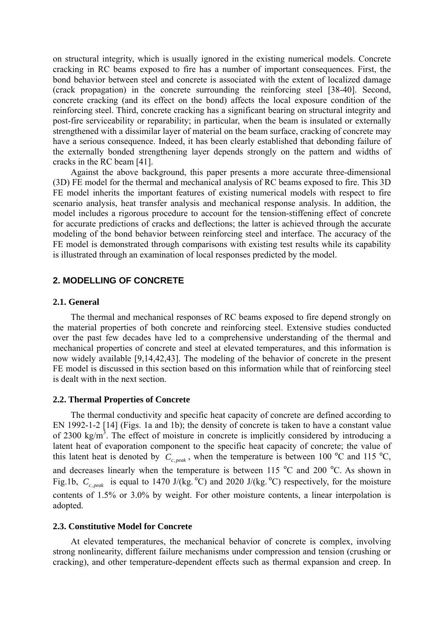on structural integrity, which is usually ignored in the existing numerical models. Concrete cracking in RC beams exposed to fire has a number of important consequences. First, the bond behavior between steel and concrete is associated with the extent of localized damage (crack propagation) in the concrete surrounding the reinforcing steel [38-40]. Second, concrete cracking (and its effect on the bond) affects the local exposure condition of the reinforcing steel. Third, concrete cracking has a significant bearing on structural integrity and post-fire serviceability or reparability; in particular, when the beam is insulated or externally strengthened with a dissimilar layer of material on the beam surface, cracking of concrete may have a serious consequence. Indeed, it has been clearly established that debonding failure of the externally bonded strengthening layer depends strongly on the pattern and widths of cracks in the RC beam [41].

Against the above background, this paper presents a more accurate three-dimensional (3D) FE model for the thermal and mechanical analysis of RC beams exposed to fire. This 3D FE model inherits the important features of existing numerical models with respect to fire scenario analysis, heat transfer analysis and mechanical response analysis. In addition, the model includes a rigorous procedure to account for the tension-stiffening effect of concrete for accurate predictions of cracks and deflections; the latter is achieved through the accurate modeling of the bond behavior between reinforcing steel and interface. The accuracy of the FE model is demonstrated through comparisons with existing test results while its capability is illustrated through an examination of local responses predicted by the model.

# **2. MODELLING OF CONCRETE**

## **2.1. General**

The thermal and mechanical responses of RC beams exposed to fire depend strongly on the material properties of both concrete and reinforcing steel. Extensive studies conducted over the past few decades have led to a comprehensive understanding of the thermal and mechanical properties of concrete and steel at elevated temperatures, and this information is now widely available [9,14,42,43]. The modeling of the behavior of concrete in the present FE model is discussed in this section based on this information while that of reinforcing steel is dealt with in the next section.

### **2.2. Thermal Properties of Concrete**

The thermal conductivity and specific heat capacity of concrete are defined according to EN 1992-1-2 [14] (Figs. 1a and 1b); the density of concrete is taken to have a constant value of 2300 kg/m<sup>3</sup>. The effect of moisture in concrete is implicitly considered by introducing a latent heat of evaporation component to the specific heat capacity of concrete; the value of this latent heat is denoted by  $C_{c,peak}$ , when the temperature is between 100 °C and 115 °C, and decreases linearly when the temperature is between 115  $^{\circ}$ C and 200  $^{\circ}$ C. As shown in Fig.1b,  $C_{c,peak}$  is equal to 1470 J/(kg. °C) and 2020 J/(kg. °C) respectively, for the moisture contents of 1.5% or 3.0% by weight. For other moisture contents, a linear interpolation is adopted.

# **2.3. Constitutive Model for Concrete**

At elevated temperatures, the mechanical behavior of concrete is complex, involving strong nonlinearity, different failure mechanisms under compression and tension (crushing or cracking), and other temperature-dependent effects such as thermal expansion and creep. In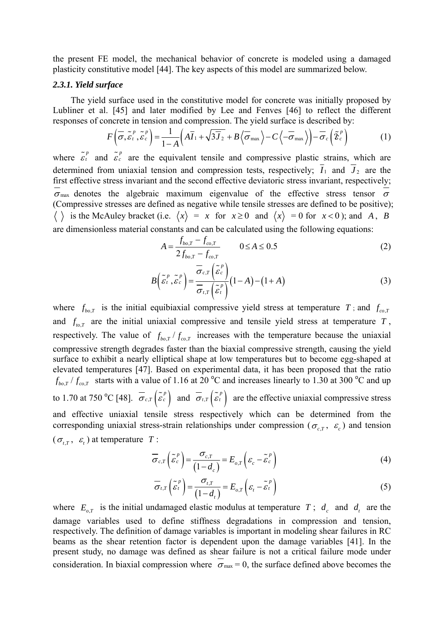the present FE model, the mechanical behavior of concrete is modeled using a damaged plasticity constitutive model [44]. The key aspects of this model are summarized below.

## *2.3.1. Yield surface*

The yield surface used in the constitutive model for concrete was initially proposed by Lubliner et al. [45] and later modified by Lee and Fenves [46] to reflect the different responses of concrete in tension and compression. The yield surface is described by:

$$
F\left(\overline{\sigma}, \widetilde{\varepsilon}_{t}^{p}, \widetilde{\varepsilon}_{c}^{p}\right) = \frac{1}{1 - A}\left(A\overline{I}_{1} + \sqrt{3}\overline{J}_{2} + B\left\langle\overline{\sigma}_{\max}\right\rangle - C\left\langle-\overline{\sigma}_{\max}\right\rangle\right) - \overline{\sigma}_{c}\left(\widetilde{\varepsilon}_{c}^{p}\right)
$$
(1)

where  $\tilde{\epsilon}_t^p$  and  $\tilde{\epsilon}_c^p$  are the equivalent tensile and compressive plastic strains, which are determined from uniaxial tension and compression tests, respectively;  $\overline{I}_1$  and  $\overline{J}_2$  are the first effective stress invariant and the second effective deviatoric stress invariant, respectively;  $\sigma_{\text{max}}$  denotes the algebraic maximum eigenvalue of the effective stress tensor  $\sigma$ (Compressive stresses are defined as negative while tensile stresses are defined to be positive);  $\langle \rangle$  is the McAuley bracket (i.e.  $\langle x \rangle = x$  for  $x \ge 0$  and  $\langle x \rangle = 0$  for  $x < 0$ ); and *A*, *B* are dimensionless material constants and can be calculated using the following equations:

$$
A = \frac{f_{bo,T} - f_{co,T}}{2f_{bo,T} - f_{co,T}} \qquad 0 \le A \le 0.5
$$
 (2)

$$
B\left(\tilde{\varepsilon}_{t}^{p},\tilde{\varepsilon}_{c}^{p}\right)=\frac{\overline{\sigma}_{c,T}\left(\tilde{\varepsilon}_{c}^{p}\right)}{\overline{\sigma}_{t,T}\left(\tilde{\varepsilon}_{t}^{p}\right)}(1-A)-(1+A)
$$
\n(3)

where  $f_{bo,T}$  is the initial equibiaxial compressive yield stress at temperature *T*; and  $f_{co,T}$ and  $f_{\text{tot}}$  are the initial uniaxial compressive and tensile yield stress at temperature *T*, respectively. The value of  $f_{\text{ho T}}/f_{\text{cor}}$  increases with the temperature because the uniaxial compressive strength degrades faster than the biaxial compressive strength, causing the yield surface to exhibit a nearly elliptical shape at low temperatures but to become egg-shaped at elevated temperatures [47]. Based on experimental data, it has been proposed that the ratio  $f_{bo,T}$  /  $f_{co,T}$  starts with a value of 1.16 at 20 °C and increases linearly to 1.30 at 300 °C and up to 1.70 at 750 °C [48].  $\overline{\sigma}_{c,T}(\tilde{\varepsilon}_c^p)$  and  $\overline{\sigma}_{t,T}(\tilde{\varepsilon}_t^p)$  are the effective uniaxial compressive stress and effective uniaxial tensile stress respectively which can be determined from the corresponding uniaxial stress-strain relationships under compression ( $\sigma_{cT}$ ,  $\varepsilon_c$ ) and tension  $(\sigma_{tT}, \varepsilon_t)$  at temperature *T* :

$$
\overline{\sigma}_{c,T}\left(\tilde{\varepsilon}_c^p\right) = \frac{\sigma_{c,T}}{\left(1 - d_c\right)} = E_{o,T}\left(\varepsilon_c - \tilde{\varepsilon}_c^p\right)
$$
(4)

$$
\overline{\sigma}_{t,T}\left(\tilde{\varepsilon}_t^p\right) = \frac{\sigma_{t,T}}{\left(1 - d_t\right)} = E_{o,T}\left(\varepsilon_t - \tilde{\varepsilon}_t^p\right)
$$
\n(5)

where  $E_{\rho T}$  is the initial undamaged elastic modulus at temperature *T*;  $d_c$  and  $d_t$  are the damage variables used to define stiffness degradations in compression and tension, respectively. The definition of damage variables is important in modeling shear failures in RC beams as the shear retention factor is dependent upon the damage variables [41]. In the present study, no damage was defined as shear failure is not a critical failure mode under consideration. In biaxial compression where  $\sigma_{\text{max}} = 0$ , the surface defined above becomes the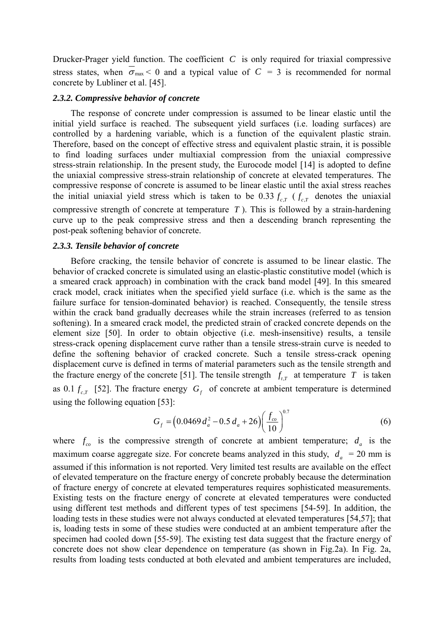Drucker-Prager yield function. The coefficient *C* is only required for triaxial compressive stress states, when  $\sigma_{\text{max}} < 0$  and a typical value of  $C = 3$  is recommended for normal concrete by Lubliner et al. [45].

## *2.3.2. Compressive behavior of concrete*

The response of concrete under compression is assumed to be linear elastic until the initial yield surface is reached. The subsequent yield surfaces (i.e. loading surfaces) are controlled by a hardening variable, which is a function of the equivalent plastic strain. Therefore, based on the concept of effective stress and equivalent plastic strain, it is possible to find loading surfaces under multiaxial compression from the uniaxial compressive stress-strain relationship. In the present study, the Eurocode model [14] is adopted to define the uniaxial compressive stress-strain relationship of concrete at elevated temperatures. The compressive response of concrete is assumed to be linear elastic until the axial stress reaches the initial uniaxial yield stress which is taken to be 0.33  $f_{c,T}$  ( $f_{c,T}$  denotes the uniaxial compressive strength of concrete at temperature *T* ). This is followed by a strain-hardening curve up to the peak compressive stress and then a descending branch representing the post-peak softening behavior of concrete.

# *2.3.3. Tensile behavior of concrete*

Before cracking, the tensile behavior of concrete is assumed to be linear elastic. The behavior of cracked concrete is simulated using an elastic-plastic constitutive model (which is a smeared crack approach) in combination with the crack band model [49]. In this smeared crack model, crack initiates when the specified yield surface (i.e. which is the same as the failure surface for tension-dominated behavior) is reached. Consequently, the tensile stress within the crack band gradually decreases while the strain increases (referred to as tension softening). In a smeared crack model, the predicted strain of cracked concrete depends on the element size [50]. In order to obtain objective (i.e. mesh-insensitive) results, a tensile stress-crack opening displacement curve rather than a tensile stress-strain curve is needed to define the softening behavior of cracked concrete. Such a tensile stress-crack opening displacement curve is defined in terms of material parameters such as the tensile strength and the fracture energy of the concrete [51]. The tensile strength  $f_{tT}$  at temperature *T* is taken as 0.1  $f_{cT}$  [52]. The fracture energy  $G_f$  of concrete at ambient temperature is determined using the following equation [53]:

$$
G_f = \left(0.0469 d_a^2 - 0.5 d_a + 26\right) \left(\frac{f_{co}}{10}\right)^{0.7} \tag{6}
$$

where  $f_{co}$  is the compressive strength of concrete at ambient temperature;  $d_a$  is the maximum coarse aggregate size. For concrete beams analyzed in this study,  $d_a = 20$  mm is assumed if this information is not reported. Very limited test results are available on the effect of elevated temperature on the fracture energy of concrete probably because the determination of fracture energy of concrete at elevated temperatures requires sophisticated measurements. Existing tests on the fracture energy of concrete at elevated temperatures were conducted using different test methods and different types of test specimens [54-59]. In addition, the loading tests in these studies were not always conducted at elevated temperatures [54,57]; that is, loading tests in some of these studies were conducted at an ambient temperature after the specimen had cooled down [55-59]. The existing test data suggest that the fracture energy of concrete does not show clear dependence on temperature (as shown in Fig.2a). In Fig. 2a, results from loading tests conducted at both elevated and ambient temperatures are included,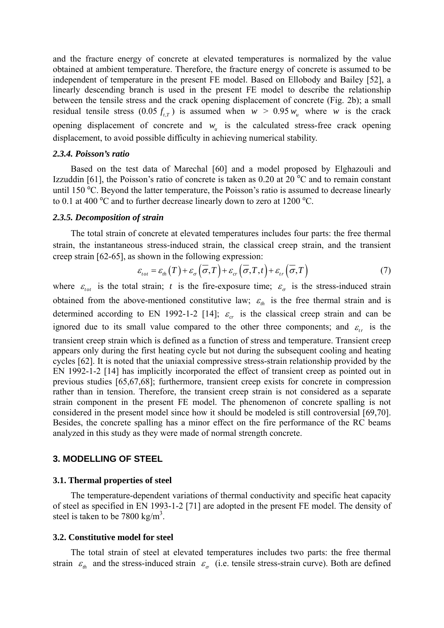and the fracture energy of concrete at elevated temperatures is normalized by the value obtained at ambient temperature. Therefore, the fracture energy of concrete is assumed to be independent of temperature in the present FE model. Based on Ellobody and Bailey [52], a linearly descending branch is used in the present FE model to describe the relationship between the tensile stress and the crack opening displacement of concrete (Fig. 2b); a small residual tensile stress  $(0.05 f_{t,T})$  is assumed when  $w > 0.95 w_u$  where *w* is the crack opening displacement of concrete and  $w_{\mu}$  is the calculated stress-free crack opening displacement, to avoid possible difficulty in achieving numerical stability.

# *2.3.4. Poisson's ratio*

Based on the test data of Marechal [60] and a model proposed by Elghazouli and Izzuddin [61], the Poisson's ratio of concrete is taken as 0.20 at  $20^{\circ}$ C and to remain constant until 150 °C. Beyond the latter temperature, the Poisson's ratio is assumed to decrease linearly to 0.1 at 400 $\degree$ C and to further decrease linearly down to zero at 1200 $\degree$ C.

### *2.3.5. Decomposition of strain*

The total strain of concrete at elevated temperatures includes four parts: the free thermal strain, the instantaneous stress-induced strain, the classical creep strain, and the transient creep strain [62-65], as shown in the following expression:

$$
\varepsilon_{tot} = \varepsilon_{th}(T) + \varepsilon_{\sigma}\left(\overline{\sigma}, T\right) + \varepsilon_{cr}\left(\overline{\sigma}, T, t\right) + \varepsilon_{tr}\left(\overline{\sigma}, T\right) \tag{7}
$$

where  $\varepsilon_{tot}$  is the total strain; *t* is the fire-exposure time;  $\varepsilon_{\sigma}$  is the stress-induced strain obtained from the above-mentioned constitutive law;  $\varepsilon$ <sub>th</sub> is the free thermal strain and is determined according to EN 1992-1-2 [14];  $\varepsilon_r$  is the classical creep strain and can be ignored due to its small value compared to the other three components; and  $\varepsilon_{rr}$  is the transient creep strain which is defined as a function of stress and temperature. Transient creep appears only during the first heating cycle but not during the subsequent cooling and heating cycles [62]. It is noted that the uniaxial compressive stress-strain relationship provided by the EN 1992-1-2 [14] has implicitly incorporated the effect of transient creep as pointed out in previous studies [65,67,68]; furthermore, transient creep exists for concrete in compression rather than in tension. Therefore, the transient creep strain is not considered as a separate strain component in the present FE model. The phenomenon of concrete spalling is not considered in the present model since how it should be modeled is still controversial [69,70]. Besides, the concrete spalling has a minor effect on the fire performance of the RC beams analyzed in this study as they were made of normal strength concrete.

## **3. MODELLING OF STEEL**

#### **3.1. Thermal properties of steel**

The temperature-dependent variations of thermal conductivity and specific heat capacity of steel as specified in EN 1993-1-2 [71] are adopted in the present FE model. The density of steel is taken to be 7800 kg/m<sup>3</sup>.

# **3.2. Constitutive model for steel**

The total strain of steel at elevated temperatures includes two parts: the free thermal strain  $\varepsilon_{th}$  and the stress-induced strain  $\varepsilon_{\sigma}$  (i.e. tensile stress-strain curve). Both are defined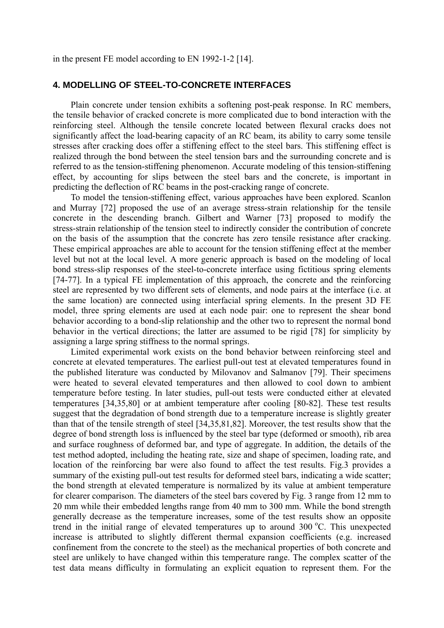in the present FE model according to EN 1992-1-2 [14].

# **4. MODELLING OF STEEL-TO-CONCRETE INTERFACES**

Plain concrete under tension exhibits a softening post-peak response. In RC members, the tensile behavior of cracked concrete is more complicated due to bond interaction with the reinforcing steel. Although the tensile concrete located between flexural cracks does not significantly affect the load-bearing capacity of an RC beam, its ability to carry some tensile stresses after cracking does offer a stiffening effect to the steel bars. This stiffening effect is realized through the bond between the steel tension bars and the surrounding concrete and is referred to as the tension-stiffening phenomenon. Accurate modeling of this tension-stiffening effect, by accounting for slips between the steel bars and the concrete, is important in predicting the deflection of RC beams in the post-cracking range of concrete.

To model the tension-stiffening effect, various approaches have been explored. Scanlon and Murray [72] proposed the use of an average stress-strain relationship for the tensile concrete in the descending branch. Gilbert and Warner [73] proposed to modify the stress-strain relationship of the tension steel to indirectly consider the contribution of concrete on the basis of the assumption that the concrete has zero tensile resistance after cracking. These empirical approaches are able to account for the tension stiffening effect at the member level but not at the local level. A more generic approach is based on the modeling of local bond stress-slip responses of the steel-to-concrete interface using fictitious spring elements [74-77]. In a typical FE implementation of this approach, the concrete and the reinforcing steel are represented by two different sets of elements, and node pairs at the interface (i.e. at the same location) are connected using interfacial spring elements. In the present 3D FE model, three spring elements are used at each node pair: one to represent the shear bond behavior according to a bond-slip relationship and the other two to represent the normal bond behavior in the vertical directions; the latter are assumed to be rigid [78] for simplicity by assigning a large spring stiffness to the normal springs.

Limited experimental work exists on the bond behavior between reinforcing steel and concrete at elevated temperatures. The earliest pull-out test at elevated temperatures found in the published literature was conducted by Milovanov and Salmanov [79]. Their specimens were heated to several elevated temperatures and then allowed to cool down to ambient temperature before testing. In later studies, pull-out tests were conducted either at elevated temperatures [34,35,80] or at ambient temperature after cooling [80-82]. These test results suggest that the degradation of bond strength due to a temperature increase is slightly greater than that of the tensile strength of steel [34,35,81,82]. Moreover, the test results show that the degree of bond strength loss is influenced by the steel bar type (deformed or smooth), rib area and surface roughness of deformed bar, and type of aggregate. In addition, the details of the test method adopted, including the heating rate, size and shape of specimen, loading rate, and location of the reinforcing bar were also found to affect the test results. Fig.3 provides a summary of the existing pull-out test results for deformed steel bars, indicating a wide scatter; the bond strength at elevated temperature is normalized by its value at ambient temperature for clearer comparison. The diameters of the steel bars covered by Fig. 3 range from 12 mm to 20 mm while their embedded lengths range from 40 mm to 300 mm. While the bond strength generally decrease as the temperature increases, some of the test results show an opposite trend in the initial range of elevated temperatures up to around  $300^{\circ}$ C. This unexpected increase is attributed to slightly different thermal expansion coefficients (e.g. increased confinement from the concrete to the steel) as the mechanical properties of both concrete and steel are unlikely to have changed within this temperature range. The complex scatter of the test data means difficulty in formulating an explicit equation to represent them. For the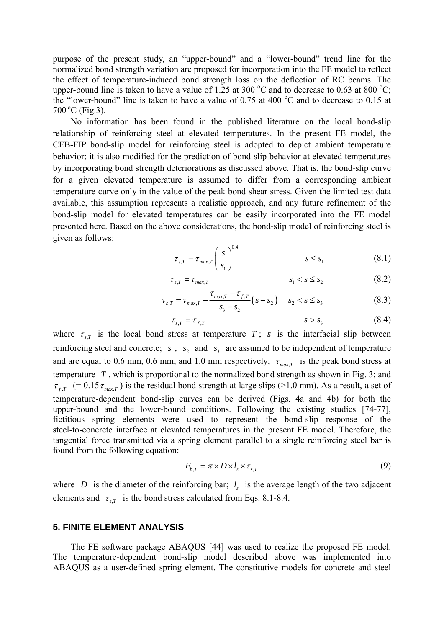purpose of the present study, an "upper-bound" and a "lower-bound" trend line for the normalized bond strength variation are proposed for incorporation into the FE model to reflect the effect of temperature-induced bond strength loss on the deflection of RC beams. The upper-bound line is taken to have a value of 1.25 at 300 °C and to decrease to 0.63 at 800 °C; the "lower-bound" line is taken to have a value of  $0.75$  at  $400\degree$ C and to decrease to  $0.15$  at  $700\,^{\circ}$ C (Fig.3).

No information has been found in the published literature on the local bond-slip relationship of reinforcing steel at elevated temperatures. In the present FE model, the CEB-FIP bond-slip model for reinforcing steel is adopted to depict ambient temperature behavior; it is also modified for the prediction of bond-slip behavior at elevated temperatures by incorporating bond strength deteriorations as discussed above. That is, the bond-slip curve for a given elevated temperature is assumed to differ from a corresponding ambient temperature curve only in the value of the peak bond shear stress. Given the limited test data available, this assumption represents a realistic approach, and any future refinement of the bond-slip model for elevated temperatures can be easily incorporated into the FE model presented here. Based on the above considerations, the bond-slip model of reinforcing steel is given as follows:

$$
\tau_{s,T} = \tau_{max,T} \left(\frac{s}{s_1}\right)^{0.4} \qquad \qquad s \le s_1 \tag{8.1}
$$

$$
\tau_{s,T} = \tau_{\max,T} \tag{8.2}
$$

$$
\tau_{s,T} = \tau_{\max,T} - \frac{\tau_{\max,T} - \tau_{f,T}}{s_3 - s_2} (s - s_2) \quad s_2 < s \le s_3 \tag{8.3}
$$

$$
\tau_{s,T} = \tau_{f,T} \tag{8.4}
$$

where  $\tau_{\tau}$  is the local bond stress at temperature *T*; *s* is the interfacial slip between reinforcing steel and concrete;  $s_1$ ,  $s_2$  and  $s_3$  are assumed to be independent of temperature and are equal to 0.6 mm, 0.6 mm, and 1.0 mm respectively;  $\tau_{max,T}$  is the peak bond stress at temperature *T* , which is proportional to the normalized bond strength as shown in Fig. 3; and  $\tau_{f,T}$  (= 0.15  $\tau_{max,T}$ ) is the residual bond strength at large slips (>1.0 mm). As a result, a set of temperature-dependent bond-slip curves can be derived (Figs. 4a and 4b) for both the upper-bound and the lower-bound conditions. Following the existing studies [74-77], fictitious spring elements were used to represent the bond-slip response of the steel-to-concrete interface at elevated temperatures in the present FE model. Therefore, the tangential force transmitted via a spring element parallel to a single reinforcing steel bar is found from the following equation:

$$
F_{b,T} = \pi \times D \times l_s \times \tau_{s,T} \tag{9}
$$

where *D* is the diameter of the reinforcing bar;  $l<sub>s</sub>$  is the average length of the two adjacent elements and  $\tau_{ST}$  is the bond stress calculated from Eqs. 8.1-8.4.

# **5. FINITE ELEMENT ANALYSIS**

The FE software package ABAQUS [44] was used to realize the proposed FE model. The temperature-dependent bond-slip model described above was implemented into ABAQUS as a user-defined spring element. The constitutive models for concrete and steel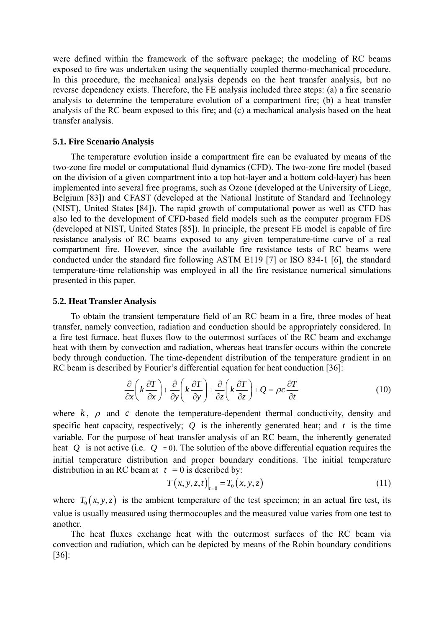were defined within the framework of the software package; the modeling of RC beams exposed to fire was undertaken using the sequentially coupled thermo-mechanical procedure. In this procedure, the mechanical analysis depends on the heat transfer analysis, but no reverse dependency exists. Therefore, the FE analysis included three steps: (a) a fire scenario analysis to determine the temperature evolution of a compartment fire; (b) a heat transfer analysis of the RC beam exposed to this fire; and (c) a mechanical analysis based on the heat transfer analysis.

## **5.1. Fire Scenario Analysis**

The temperature evolution inside a compartment fire can be evaluated by means of the two-zone fire model or computational fluid dynamics (CFD). The two-zone fire model (based on the division of a given compartment into a top hot-layer and a bottom cold-layer) has been implemented into several free programs, such as Ozone (developed at the University of Liege, Belgium [83]) and CFAST (developed at the National Institute of Standard and Technology (NIST), United States [84]). The rapid growth of computational power as well as CFD has also led to the development of CFD-based field models such as the computer program FDS (developed at NIST, United States [85]). In principle, the present FE model is capable of fire resistance analysis of RC beams exposed to any given temperature-time curve of a real compartment fire. However, since the available fire resistance tests of RC beams were conducted under the standard fire following ASTM E119 [7] or ISO 834-1 [6], the standard temperature-time relationship was employed in all the fire resistance numerical simulations presented in this paper.

## **5.2. Heat Transfer Analysis**

To obtain the transient temperature field of an RC beam in a fire, three modes of heat transfer, namely convection, radiation and conduction should be appropriately considered. In a fire test furnace, heat fluxes flow to the outermost surfaces of the RC beam and exchange heat with them by convection and radiation, whereas heat transfer occurs within the concrete body through conduction. The time-dependent distribution of the temperature gradient in an RC beam is described by Fourier's differential equation for heat conduction [36]:

$$
\frac{\partial}{\partial x}\left(k\frac{\partial T}{\partial x}\right) + \frac{\partial}{\partial y}\left(k\frac{\partial T}{\partial y}\right) + \frac{\partial}{\partial z}\left(k\frac{\partial T}{\partial z}\right) + Q = \rho c \frac{\partial T}{\partial t}
$$
(10)

where  $k$ ,  $\rho$  and  $c$  denote the temperature-dependent thermal conductivity, density and specific heat capacity, respectively;  $Q$  is the inherently generated heat; and  $t$  is the time variable. For the purpose of heat transfer analysis of an RC beam, the inherently generated heat *Q* is not active (i.e.  $Q = 0$ ). The solution of the above differential equation requires the initial temperature distribution and proper boundary conditions. The initial temperature distribution in an RC beam at  $t = 0$  is described by:

$$
T(x, y, z, t)|_{t=0} = T_0(x, y, z)
$$
\n(11)

where  $T_0(x, y, z)$  is the ambient temperature of the test specimen; in an actual fire test, its value is usually measured using thermocouples and the measured value varies from one test to another.

The heat fluxes exchange heat with the outermost surfaces of the RC beam via convection and radiation, which can be depicted by means of the Robin boundary conditions [36]: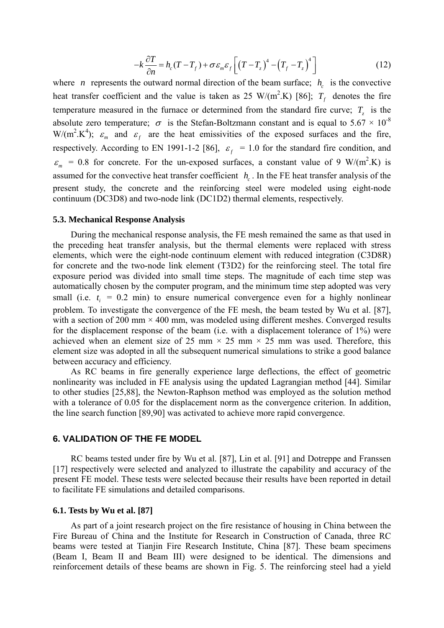$$
-k\frac{\partial T}{\partial n} = h_c(T - T_f) + \sigma \varepsilon_m \varepsilon_f \left[ \left(T - T_z\right)^4 - \left(T_f - T_z\right)^4 \right] \tag{12}
$$

where *n* represents the outward normal direction of the beam surface;  $h_c$  is the convective heat transfer coefficient and the value is taken as 25 W/(m<sup>2</sup>.K) [86];  $T_f$  denotes the fire temperature measured in the furnace or determined from the standard fire curve;  $T<sub>z</sub>$  is the absolute zero temperature;  $\sigma$  is the Stefan-Boltzmann constant and is equal to 5.67  $\times$  10<sup>-8</sup> W/(m<sup>2</sup>.K<sup>4</sup>);  $\varepsilon_m$  and  $\varepsilon_f$  are the heat emissivities of the exposed surfaces and the fire, respectively. According to EN 1991-1-2 [86],  $\varepsilon_f = 1.0$  for the standard fire condition, and  $\varepsilon_m$  = 0.8 for concrete. For the un-exposed surfaces, a constant value of 9 W/(m<sup>2</sup>.K) is assumed for the convective heat transfer coefficient  $h_c$ . In the FE heat transfer analysis of the present study, the concrete and the reinforcing steel were modeled using eight-node continuum (DC3D8) and two-node link (DC1D2) thermal elements, respectively.

#### **5.3. Mechanical Response Analysis**

During the mechanical response analysis, the FE mesh remained the same as that used in the preceding heat transfer analysis, but the thermal elements were replaced with stress elements, which were the eight-node continuum element with reduced integration (C3D8R) for concrete and the two-node link element (T3D2) for the reinforcing steel. The total fire exposure period was divided into small time steps. The magnitude of each time step was automatically chosen by the computer program, and the minimum time step adopted was very small (i.e.  $t_i = 0.2$  min) to ensure numerical convergence even for a highly nonlinear problem. To investigate the convergence of the FE mesh, the beam tested by Wu et al. [87], with a section of 200 mm  $\times$  400 mm, was modeled using different meshes. Converged results for the displacement response of the beam (i.e. with a displacement tolerance of 1%) were achieved when an element size of 25 mm  $\times$  25 mm  $\times$  25 mm was used. Therefore, this element size was adopted in all the subsequent numerical simulations to strike a good balance between accuracy and efficiency.

As RC beams in fire generally experience large deflections, the effect of geometric nonlinearity was included in FE analysis using the updated Lagrangian method [44]. Similar to other studies [25,88], the Newton-Raphson method was employed as the solution method with a tolerance of 0.05 for the displacement norm as the convergence criterion. In addition, the line search function [89,90] was activated to achieve more rapid convergence.

## **6. VALIDATION OF THE FE MODEL**

RC beams tested under fire by Wu et al. [87], Lin et al. [91] and Dotreppe and Franssen [17] respectively were selected and analyzed to illustrate the capability and accuracy of the present FE model. These tests were selected because their results have been reported in detail to facilitate FE simulations and detailed comparisons.

### **6.1. Tests by Wu et al. [87]**

As part of a joint research project on the fire resistance of housing in China between the Fire Bureau of China and the Institute for Research in Construction of Canada, three RC beams were tested at Tianjin Fire Research Institute, China [87]. These beam specimens (Beam I, Beam II and Beam III) were designed to be identical. The dimensions and reinforcement details of these beams are shown in Fig. 5. The reinforcing steel had a yield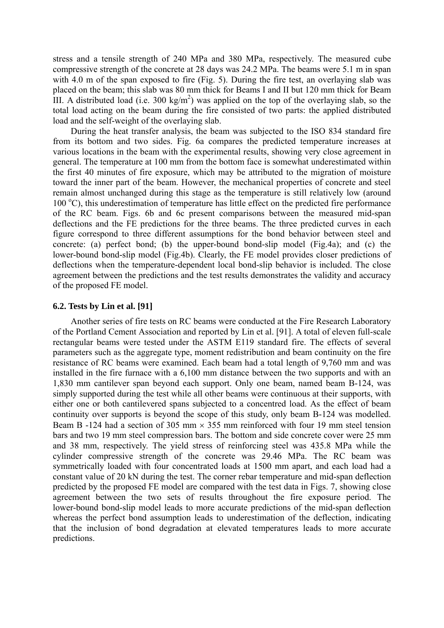stress and a tensile strength of 240 MPa and 380 MPa, respectively. The measured cube compressive strength of the concrete at 28 days was 24.2 MPa. The beams were 5.1 m in span with 4.0 m of the span exposed to fire (Fig. 5). During the fire test, an overlaying slab was placed on the beam; this slab was 80 mm thick for Beams I and II but 120 mm thick for Beam III. A distributed load (i.e. 300 kg/m<sup>2</sup>) was applied on the top of the overlaying slab, so the total load acting on the beam during the fire consisted of two parts: the applied distributed load and the self-weight of the overlaying slab.

During the heat transfer analysis, the beam was subjected to the ISO 834 standard fire from its bottom and two sides. Fig. 6a compares the predicted temperature increases at various locations in the beam with the experimental results, showing very close agreement in general. The temperature at 100 mm from the bottom face is somewhat underestimated within the first 40 minutes of fire exposure, which may be attributed to the migration of moisture toward the inner part of the beam. However, the mechanical properties of concrete and steel remain almost unchanged during this stage as the temperature is still relatively low (around 100 °C), this underestimation of temperature has little effect on the predicted fire performance of the RC beam. Figs. 6b and 6c present comparisons between the measured mid-span deflections and the FE predictions for the three beams. The three predicted curves in each figure correspond to three different assumptions for the bond behavior between steel and concrete: (a) perfect bond; (b) the upper-bound bond-slip model (Fig.4a); and (c) the lower-bound bond-slip model (Fig.4b). Clearly, the FE model provides closer predictions of deflections when the temperature-dependent local bond-slip behavior is included. The close agreement between the predictions and the test results demonstrates the validity and accuracy of the proposed FE model.

# **6.2. Tests by Lin et al. [91]**

Another series of fire tests on RC beams were conducted at the Fire Research Laboratory of the Portland Cement Association and reported by Lin et al. [91]. A total of eleven full-scale rectangular beams were tested under the ASTM E119 standard fire. The effects of several parameters such as the aggregate type, moment redistribution and beam continuity on the fire resistance of RC beams were examined. Each beam had a total length of 9,760 mm and was installed in the fire furnace with a 6,100 mm distance between the two supports and with an 1,830 mm cantilever span beyond each support. Only one beam, named beam B-124, was simply supported during the test while all other beams were continuous at their supports, with either one or both cantilevered spans subjected to a concentred load. As the effect of beam continuity over supports is beyond the scope of this study, only beam B-124 was modelled. Beam B -124 had a section of 305 mm  $\times$  355 mm reinforced with four 19 mm steel tension bars and two 19 mm steel compression bars. The bottom and side concrete cover were 25 mm and 38 mm, respectively. The yield stress of reinforcing steel was 435.8 MPa while the cylinder compressive strength of the concrete was 29.46 MPa. The RC beam was symmetrically loaded with four concentrated loads at 1500 mm apart, and each load had a constant value of 20 kN during the test. The corner rebar temperature and mid-span deflection predicted by the proposed FE model are compared with the test data in Figs. 7, showing close agreement between the two sets of results throughout the fire exposure period. The lower-bound bond-slip model leads to more accurate predictions of the mid-span deflection whereas the perfect bond assumption leads to underestimation of the deflection, indicating that the inclusion of bond degradation at elevated temperatures leads to more accurate predictions.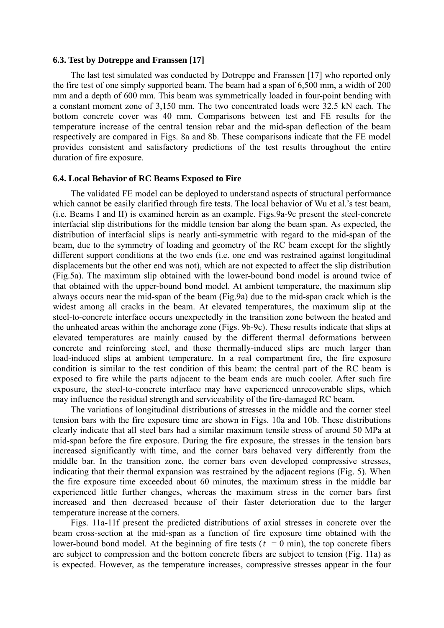## **6.3. Test by Dotreppe and Franssen [17]**

The last test simulated was conducted by Dotreppe and Franssen [17] who reported only the fire test of one simply supported beam. The beam had a span of 6,500 mm, a width of 200 mm and a depth of 600 mm. This beam was symmetrically loaded in four-point bending with a constant moment zone of 3,150 mm. The two concentrated loads were 32.5 kN each. The bottom concrete cover was 40 mm. Comparisons between test and FE results for the temperature increase of the central tension rebar and the mid-span deflection of the beam respectively are compared in Figs. 8a and 8b. These comparisons indicate that the FE model provides consistent and satisfactory predictions of the test results throughout the entire duration of fire exposure.

## **6.4. Local Behavior of RC Beams Exposed to Fire**

The validated FE model can be deployed to understand aspects of structural performance which cannot be easily clarified through fire tests. The local behavior of Wu et al.'s test beam, (i.e. Beams I and II) is examined herein as an example. Figs.9a-9c present the steel-concrete interfacial slip distributions for the middle tension bar along the beam span. As expected, the distribution of interfacial slips is nearly anti-symmetric with regard to the mid-span of the beam, due to the symmetry of loading and geometry of the RC beam except for the slightly different support conditions at the two ends (i.e. one end was restrained against longitudinal displacements but the other end was not), which are not expected to affect the slip distribution (Fig.5a). The maximum slip obtained with the lower-bound bond model is around twice of that obtained with the upper-bound bond model. At ambient temperature, the maximum slip always occurs near the mid-span of the beam (Fig.9a) due to the mid-span crack which is the widest among all cracks in the beam. At elevated temperatures, the maximum slip at the steel-to-concrete interface occurs unexpectedly in the transition zone between the heated and the unheated areas within the anchorage zone (Figs. 9b-9c). These results indicate that slips at elevated temperatures are mainly caused by the different thermal deformations between concrete and reinforcing steel, and these thermally-induced slips are much larger than load-induced slips at ambient temperature. In a real compartment fire, the fire exposure condition is similar to the test condition of this beam: the central part of the RC beam is exposed to fire while the parts adjacent to the beam ends are much cooler. After such fire exposure, the steel-to-concrete interface may have experienced unrecoverable slips, which may influence the residual strength and serviceability of the fire-damaged RC beam.

The variations of longitudinal distributions of stresses in the middle and the corner steel tension bars with the fire exposure time are shown in Figs. 10a and 10b. These distributions clearly indicate that all steel bars had a similar maximum tensile stress of around 50 MPa at mid-span before the fire exposure. During the fire exposure, the stresses in the tension bars increased significantly with time, and the corner bars behaved very differently from the middle bar. In the transition zone, the corner bars even developed compressive stresses, indicating that their thermal expansion was restrained by the adjacent regions (Fig. 5). When the fire exposure time exceeded about 60 minutes, the maximum stress in the middle bar experienced little further changes, whereas the maximum stress in the corner bars first increased and then decreased because of their faster deterioration due to the larger temperature increase at the corners.

Figs. 11a-11f present the predicted distributions of axial stresses in concrete over the beam cross-section at the mid-span as a function of fire exposure time obtained with the lower-bound bond model. At the beginning of fire tests ( $t = 0$  min), the top concrete fibers are subject to compression and the bottom concrete fibers are subject to tension (Fig. 11a) as is expected. However, as the temperature increases, compressive stresses appear in the four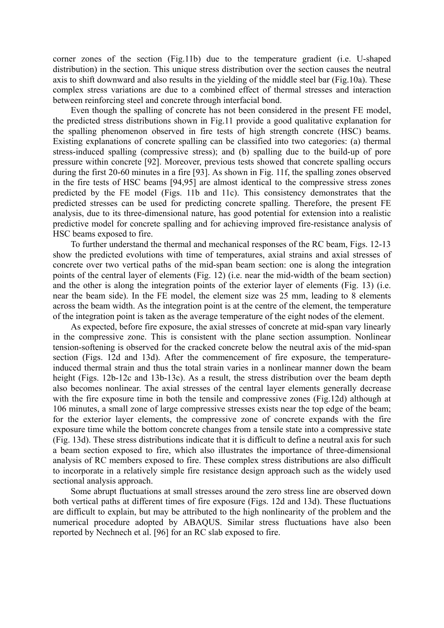corner zones of the section (Fig.11b) due to the temperature gradient (i.e. U-shaped distribution) in the section. This unique stress distribution over the section causes the neutral axis to shift downward and also results in the yielding of the middle steel bar (Fig.10a). These complex stress variations are due to a combined effect of thermal stresses and interaction between reinforcing steel and concrete through interfacial bond.

Even though the spalling of concrete has not been considered in the present FE model, the predicted stress distributions shown in Fig.11 provide a good qualitative explanation for the spalling phenomenon observed in fire tests of high strength concrete (HSC) beams. Existing explanations of concrete spalling can be classified into two categories: (a) thermal stress-induced spalling (compressive stress); and (b) spalling due to the build-up of pore pressure within concrete [92]. Moreover, previous tests showed that concrete spalling occurs during the first 20-60 minutes in a fire [93]. As shown in Fig. 11f, the spalling zones observed in the fire tests of HSC beams [94,95] are almost identical to the compressive stress zones predicted by the FE model (Figs. 11b and 11c). This consistency demonstrates that the predicted stresses can be used for predicting concrete spalling. Therefore, the present FE analysis, due to its three-dimensional nature, has good potential for extension into a realistic predictive model for concrete spalling and for achieving improved fire-resistance analysis of HSC beams exposed to fire.

To further understand the thermal and mechanical responses of the RC beam, Figs. 12-13 show the predicted evolutions with time of temperatures, axial strains and axial stresses of concrete over two vertical paths of the mid-span beam section: one is along the integration points of the central layer of elements (Fig. 12) (i.e. near the mid-width of the beam section) and the other is along the integration points of the exterior layer of elements (Fig. 13) (i.e. near the beam side). In the FE model, the element size was 25 mm, leading to 8 elements across the beam width. As the integration point is at the centre of the element, the temperature of the integration point is taken as the average temperature of the eight nodes of the element.

As expected, before fire exposure, the axial stresses of concrete at mid-span vary linearly in the compressive zone. This is consistent with the plane section assumption. Nonlinear tension-softening is observed for the cracked concrete below the neutral axis of the mid-span section (Figs. 12d and 13d). After the commencement of fire exposure, the temperatureinduced thermal strain and thus the total strain varies in a nonlinear manner down the beam height (Figs. 12b-12c and 13b-13c). As a result, the stress distribution over the beam depth also becomes nonlinear. The axial stresses of the central layer elements generally decrease with the fire exposure time in both the tensile and compressive zones (Fig.12d) although at 106 minutes, a small zone of large compressive stresses exists near the top edge of the beam; for the exterior layer elements, the compressive zone of concrete expands with the fire exposure time while the bottom concrete changes from a tensile state into a compressive state (Fig. 13d). These stress distributions indicate that it is difficult to define a neutral axis for such a beam section exposed to fire, which also illustrates the importance of three-dimensional analysis of RC members exposed to fire. These complex stress distributions are also difficult to incorporate in a relatively simple fire resistance design approach such as the widely used sectional analysis approach.

Some abrupt fluctuations at small stresses around the zero stress line are observed down both vertical paths at different times of fire exposure (Figs. 12d and 13d). These fluctuations are difficult to explain, but may be attributed to the high nonlinearity of the problem and the numerical procedure adopted by ABAQUS. Similar stress fluctuations have also been reported by Nechnech et al. [96] for an RC slab exposed to fire.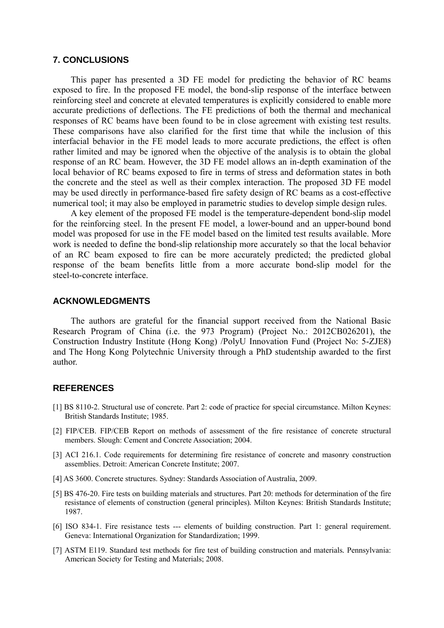# **7. CONCLUSIONS**

This paper has presented a 3D FE model for predicting the behavior of RC beams exposed to fire. In the proposed FE model, the bond-slip response of the interface between reinforcing steel and concrete at elevated temperatures is explicitly considered to enable more accurate predictions of deflections. The FE predictions of both the thermal and mechanical responses of RC beams have been found to be in close agreement with existing test results. These comparisons have also clarified for the first time that while the inclusion of this interfacial behavior in the FE model leads to more accurate predictions, the effect is often rather limited and may be ignored when the objective of the analysis is to obtain the global response of an RC beam. However, the 3D FE model allows an in-depth examination of the local behavior of RC beams exposed to fire in terms of stress and deformation states in both the concrete and the steel as well as their complex interaction. The proposed 3D FE model may be used directly in performance-based fire safety design of RC beams as a cost-effective numerical tool; it may also be employed in parametric studies to develop simple design rules.

A key element of the proposed FE model is the temperature-dependent bond-slip model for the reinforcing steel. In the present FE model, a lower-bound and an upper-bound bond model was proposed for use in the FE model based on the limited test results available. More work is needed to define the bond-slip relationship more accurately so that the local behavior of an RC beam exposed to fire can be more accurately predicted; the predicted global response of the beam benefits little from a more accurate bond-slip model for the steel-to-concrete interface.

## **ACKNOWLEDGMENTS**

The authors are grateful for the financial support received from the National Basic Research Program of China (i.e. the 973 Program) (Project No.: 2012CB026201), the Construction Industry Institute (Hong Kong) /PolyU Innovation Fund (Project No: 5-ZJE8) and The Hong Kong Polytechnic University through a PhD studentship awarded to the first author.

# **REFERENCES**

- [1] BS 8110-2. Structural use of concrete. Part 2: code of practice for special circumstance. Milton Keynes: British Standards Institute; 1985.
- [2] FIP/CEB. FIP/CEB Report on methods of assessment of the fire resistance of concrete structural members. Slough: Cement and Concrete Association; 2004.
- [3] ACI 216.1. Code requirements for determining fire resistance of concrete and masonry construction assemblies. Detroit: American Concrete Institute; 2007.
- [4] AS 3600. Concrete structures. Sydney: Standards Association of Australia, 2009.
- [5] BS 476-20. Fire tests on building materials and structures. Part 20: methods for determination of the fire resistance of elements of construction (general principles)*.* Milton Keynes: British Standards Institute; 1987.
- [6] ISO 834-1. Fire resistance tests --- elements of building construction. Part 1: general requirement. Geneva: International Organization for Standardization; 1999.
- [7] ASTM E119. Standard test methods for fire test of building construction and materials*.* Pennsylvania: American Society for Testing and Materials; 2008.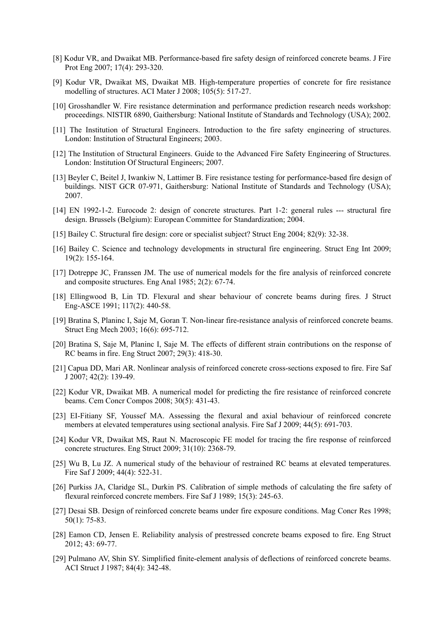- [8] Kodur VR, and Dwaikat MB. Performance-based fire safety design of reinforced concrete beams. J Fire Prot Eng 2007; 17(4): 293-320.
- [9] Kodur VR, Dwaikat MS, Dwaikat MB. High-temperature properties of concrete for fire resistance modelling of structures. ACI Mater J 2008; 105(5): 517-27.
- [10] Grosshandler W. Fire resistance determination and performance prediction research needs workshop: proceedings. NISTIR 6890, Gaithersburg: National Institute of Standards and Technology (USA); 2002.
- [11] The Institution of Structural Engineers. Introduction to the fire safety engineering of structures. London: Institution of Structural Engineers; 2003.
- [12] The Institution of Structural Engineers. Guide to the Advanced Fire Safety Engineering of Structures. London: Institution Of Structural Engineers; 2007.
- [13] Beyler C, Beitel J, Iwankiw N, Lattimer B. Fire resistance testing for performance-based fire design of buildings. NIST GCR 07-971, Gaithersburg: National Institute of Standards and Technology (USA); 2007.
- [14] EN 1992-1-2. Eurocode 2: design of concrete structures. Part 1-2: general rules --- structural fire design. Brussels (Belgium): European Committee for Standardization; 2004.
- [15] Bailey C. Structural fire design: core or specialist subject? Struct Eng 2004; 82(9): 32-38.
- [16] Bailey C. Science and technology developments in structural fire engineering. Struct Eng Int 2009; 19(2): 155-164.
- [17] Dotreppe JC, Franssen JM. The use of numerical models for the fire analysis of reinforced concrete and composite structures. Eng Anal 1985; 2(2): 67-74.
- [18] Ellingwood B, Lin TD. Flexural and shear behaviour of concrete beams during fires. J Struct Eng-ASCE 1991; 117(2): 440-58.
- [19] Bratina S, Planinc I, Saje M, Goran T. Non-linear fire-resistance analysis of reinforced concrete beams. Struct Eng Mech 2003; 16(6): 695-712.
- [20] Bratina S, Saje M, Planinc I, Saje M. The effects of different strain contributions on the response of RC beams in fire. Eng Struct 2007; 29(3): 418-30.
- [21] Capua DD, Mari AR. Nonlinear analysis of reinforced concrete cross-sections exposed to fire. Fire Saf J 2007; 42(2): 139-49.
- [22] Kodur VR, Dwaikat MB. A numerical model for predicting the fire resistance of reinforced concrete beams. Cem Concr Compos 2008; 30(5): 431-43.
- [23] EI-Fitiany SF, Youssef MA. Assessing the flexural and axial behaviour of reinforced concrete members at elevated temperatures using sectional analysis. Fire Saf J 2009; 44(5): 691-703.
- [24] Kodur VR, Dwaikat MS, Raut N. Macroscopic FE model for tracing the fire response of reinforced concrete structures. Eng Struct 2009; 31(10): 2368-79.
- [25] Wu B, Lu JZ. A numerical study of the behaviour of restrained RC beams at elevated temperatures. Fire Saf J 2009; 44(4): 522-31.
- [26] Purkiss JA, Claridge SL, Durkin PS. Calibration of simple methods of calculating the fire safety of flexural reinforced concrete members. Fire Saf J 1989; 15(3): 245-63.
- [27] Desai SB. Design of reinforced concrete beams under fire exposure conditions. Mag Concr Res 1998; 50(1): 75-83.
- [28] Eamon CD, Jensen E. Reliability analysis of prestressed concrete beams exposed to fire. Eng Struct 2012; 43: 69-77.
- [29] Pulmano AV, Shin SY. Simplified finite-element analysis of deflections of reinforced concrete beams. ACI Struct J 1987; 84(4): 342-48.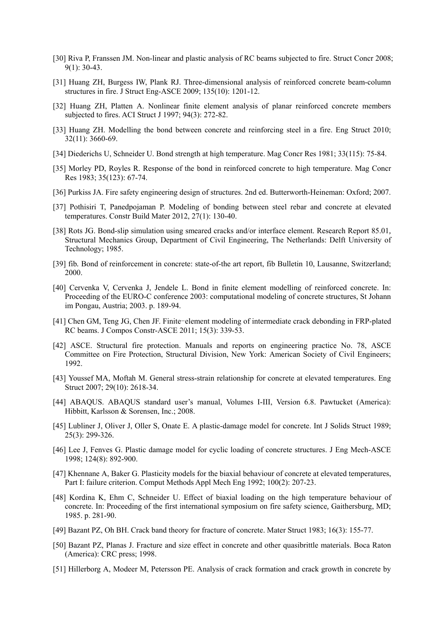- [30] Riva P, Franssen JM. Non-linear and plastic analysis of RC beams subjected to fire. Struct Concr 2008; 9(1): 30-43.
- [31] Huang ZH, Burgess IW, Plank RJ. Three-dimensional analysis of reinforced concrete beam-column structures in fire. J Struct Eng-ASCE 2009; 135(10): 1201-12.
- [32] Huang ZH, Platten A. Nonlinear finite element analysis of planar reinforced concrete members subjected to fires. ACI Struct J 1997; 94(3): 272-82.
- [33] Huang ZH. Modelling the bond between concrete and reinforcing steel in a fire. Eng Struct 2010; 32(11): 3660-69.
- [34] Diederichs U, Schneider U. Bond strength at high temperature. Mag Concr Res 1981; 33(115): 75-84.
- [35] Morley PD, Royles R. Response of the bond in reinforced concrete to high temperature. Mag Concr Res 1983; 35(123): 67-74.
- [36] Purkiss JA. Fire safety engineering design of structures. 2nd ed. Butterworth-Heineman: Oxford; 2007.
- [37] Pothisiri T, Panedpojaman P. Modeling of bonding between steel rebar and concrete at elevated temperatures. Constr Build Mater 2012, 27(1): 130-40.
- [38] Rots JG. Bond-slip simulation using smeared cracks and/or interface element. Research Report 85.01*,*  Structural Mechanics Group, Department of Civil Engineering, The Netherlands: Delft University of Technology; 1985.
- [39] fib. Bond of reinforcement in concrete: state-of-the art report, fib Bulletin 10, Lausanne, Switzerland; 2000.
- [40] Cervenka V, Cervenka J, Jendele L. Bond in finite element modelling of reinforced concrete. In: Proceeding of the EURO-C conference 2003: computational modeling of concrete structures, St Johann im Pongau, Austria; 2003. p. 189-94.
- [41] Chen GM, Teng JG, Chen JF. Finite-element modeling of intermediate crack debonding in FRP-plated RC beams. J Compos Constr-ASCE 2011; 15(3): 339-53.
- [42] ASCE. Structural fire protection. Manuals and reports on engineering practice No. 78, ASCE Committee on Fire Protection, Structural Division, New York: American Society of Civil Engineers; 1992.
- [43] Youssef MA, Moftah M. General stress-strain relationship for concrete at elevated temperatures. Eng Struct 2007; 29(10): 2618-34.
- [44] ABAQUS. ABAQUS standard user's manual, Volumes I-III, Version 6.8. Pawtucket (America): Hibbitt, Karlsson & Sorensen, Inc.; 2008.
- [45] Lubliner J, Oliver J, Oller S, Onate E. A plastic-damage model for concrete. Int J Solids Struct 1989; 25(3): 299-326.
- [46] Lee J, Fenves G. Plastic damage model for cyclic loading of concrete structures. J Eng Mech-ASCE 1998; 124(8): 892-900.
- [47] Khennane A, Baker G. Plasticity models for the biaxial behaviour of concrete at elevated temperatures, Part I: failure criterion. Comput Methods Appl Mech Eng 1992; 100(2): 207-23.
- [48] Kordina K, Ehm C, Schneider U. Effect of biaxial loading on the high temperature behaviour of concrete. In: Proceeding of the first international symposium on fire safety science*,* Gaithersburg, MD; 1985. p. 281-90.
- [49] Bazant PZ, Oh BH. Crack band theory for fracture of concrete. Mater Struct 1983; 16(3): 155-77.
- [50] Bazant PZ, Planas J. Fracture and size effect in concrete and other quasibrittle materials. Boca Raton (America): CRC press; 1998.
- [51] Hillerborg A, Modeer M, Petersson PE. Analysis of crack formation and crack growth in concrete by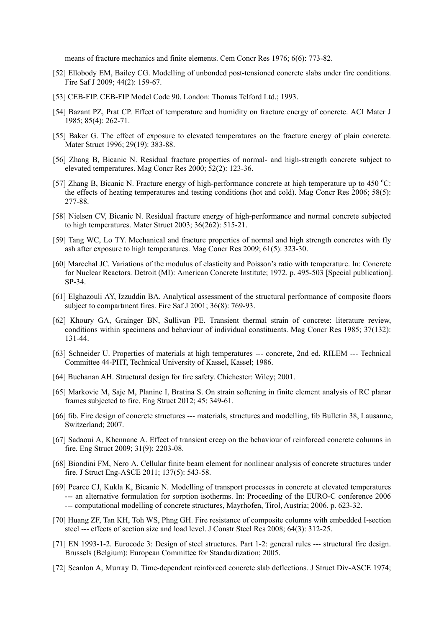means of fracture mechanics and finite elements. Cem Concr Res 1976; 6(6): 773-82.

- [52] Ellobody EM, Bailey CG. Modelling of unbonded post-tensioned concrete slabs under fire conditions. Fire Saf J 2009; 44(2): 159-67.
- [53] CEB-FIP. CEB-FIP Model Code 90. London: Thomas Telford Ltd.; 1993.
- [54] Bazant PZ, Prat CP. Effect of temperature and humidity on fracture energy of concrete. ACI Mater J 1985; 85(4): 262-71.
- [55] Baker G. The effect of exposure to elevated temperatures on the fracture energy of plain concrete. Mater Struct 1996; 29(19): 383-88.
- [56] Zhang B, Bicanic N. Residual fracture properties of normal- and high-strength concrete subject to elevated temperatures. Mag Concr Res 2000; 52(2): 123-36.
- [57] Zhang B, Bicanic N. Fracture energy of high-performance concrete at high temperature up to 450 °C: the effects of heating temperatures and testing conditions (hot and cold). Mag Concr Res 2006; 58(5): 277-88.
- [58] Nielsen CV, Bicanic N. Residual fracture energy of high-performance and normal concrete subjected to high temperatures. Mater Struct 2003; 36(262): 515-21.
- [59] Tang WC, Lo TY. Mechanical and fracture properties of normal and high strength concretes with fly ash after exposure to high temperatures. Mag Concr Res 2009; 61(5): 323-30.
- [60] Marechal JC. Variations of the modulus of elasticity and Poisson's ratio with temperature. In: Concrete for Nuclear Reactors. Detroit (MI): American Concrete Institute; 1972. p. 495-503 [Special publication]. SP-34.
- [61] Elghazouli AY, Izzuddin BA. Analytical assessment of the structural performance of composite floors subject to compartment fires. Fire Saf J 2001; 36(8): 769-93.
- [62] Khoury GA, Grainger BN, Sullivan PE. Transient thermal strain of concrete: literature review, conditions within specimens and behaviour of individual constituents. Mag Concr Res 1985; 37(132): 131-44.
- [63] Schneider U. Properties of materials at high temperatures --- concrete, 2nd ed. RILEM --- Technical Committee 44-PHT, Technical University of Kassel, Kassel; 1986.
- [64] Buchanan AH. Structural design for fire safety. Chichester: Wiley; 2001.
- [65] Markovic M, Saje M, Planinc I, Bratina S. On strain softening in finite element analysis of RC planar frames subjected to fire. Eng Struct 2012; 45: 349-61.
- [66] fib*.* Fire design of concrete structures --- materials, structures and modelling, fib Bulletin 38, Lausanne, Switzerland; 2007.
- [67] Sadaoui A, Khennane A. Effect of transient creep on the behaviour of reinforced concrete columns in fire. Eng Struct 2009; 31(9): 2203-08.
- [68] Biondini FM, Nero A. Cellular finite beam element for nonlinear analysis of concrete structures under fire. J Struct Eng-ASCE 2011; 137(5): 543-58.
- [69] Pearce CJ, Kukla K, Bicanic N. Modelling of transport processes in concrete at elevated temperatures --- an alternative formulation for sorption isotherms. In: Proceeding of the EURO-C conference 2006 --- computational modelling of concrete structures, Mayrhofen, Tirol, Austria; 2006. p. 623-32.
- [70] Huang ZF, Tan KH, Toh WS, Phng GH. Fire resistance of composite columns with embedded I-section steel --- effects of section size and load level. J Constr Steel Res 2008; 64(3): 312-25.
- [71] EN 1993-1-2. Eurocode 3: Design of steel structures. Part 1-2: general rules --- structural fire design. Brussels (Belgium): European Committee for Standardization; 2005.
- [72] Scanlon A, Murray D. Time-dependent reinforced concrete slab deflections. J Struct Div-ASCE 1974;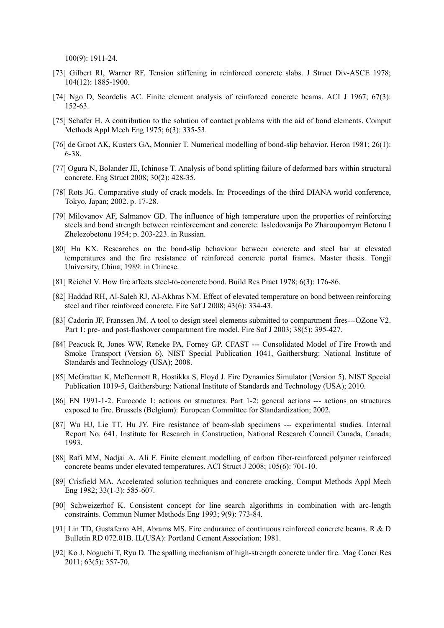100(9): 1911-24.

- [73] Gilbert RI, Warner RF. Tension stiffening in reinforced concrete slabs. J Struct Div-ASCE 1978; 104(12): 1885-1900.
- [74] Ngo D, Scordelis AC. Finite element analysis of reinforced concrete beams. ACI J 1967; 67(3): 152-63.
- [75] Schafer H. A contribution to the solution of contact problems with the aid of bond elements. Comput Methods Appl Mech Eng 1975; 6(3): 335-53.
- [76] de Groot AK, Kusters GA, Monnier T. Numerical modelling of bond-slip behavior. Heron 1981; 26(1): 6-38.
- [77] Ogura N, Bolander JE, Ichinose T. Analysis of bond splitting failure of deformed bars within structural concrete. Eng Struct 2008; 30(2): 428-35.
- [78] Rots JG. Comparative study of crack models. In: Proceedings of the third DIANA world conference, Tokyo, Japan; 2002. p. 17-28.
- [79] Milovanov AF, Salmanov GD. The influence of high temperature upon the properties of reinforcing steels and bond strength between reinforcement and concrete. Issledovanija Po Zharoupornym Betonu I Zhelezobetonu 1954; p. 203-223. in Russian.
- [80] Hu KX. Researches on the bond-slip behaviour between concrete and steel bar at elevated temperatures and the fire resistance of reinforced concrete portal frames. Master thesis. Tongji University, China; 1989. in Chinese.
- [81] Reichel V. How fire affects steel-to-concrete bond. Build Res Pract 1978; 6(3): 176-86.
- [82] Haddad RH, Al-Saleh RJ, Al-Akhras NM. Effect of elevated temperature on bond between reinforcing steel and fiber reinforced concrete. Fire Saf J 2008; 43(6): 334-43.
- [83] Cadorin JF, Franssen JM. A tool to design steel elements submitted to compartment fires---OZone V2. Part 1: pre- and post-flashover compartment fire model. Fire Saf J 2003; 38(5): 395-427.
- [84] Peacock R, Jones WW, Reneke PA, Forney GP. CFAST --- Consolidated Model of Fire Frowth and Smoke Transport (Version 6). NIST Special Publication 1041, Gaithersburg: National Institute of Standards and Technology (USA); 2008.
- [85] McGrattan K, McDermott R, Hostikka S, Floyd J. Fire Dynamics Simulator (Version 5). NIST Special Publication 1019-5, Gaithersburg: National Institute of Standards and Technology (USA); 2010.
- [86] EN 1991-1-2. Eurocode 1: actions on structures. Part 1-2: general actions --- actions on structures exposed to fire. Brussels (Belgium): European Committee for Standardization; 2002.
- [87] Wu HJ, Lie TT, Hu JY. Fire resistance of beam-slab specimens --- experimental studies. Internal Report No. 641, Institute for Research in Construction, National Research Council Canada, Canada; 1993.
- [88] Rafi MM, Nadjai A, Ali F. Finite element modelling of carbon fiber-reinforced polymer reinforced concrete beams under elevated temperatures. ACI Struct J 2008; 105(6): 701-10.
- [89] Crisfield MA. Accelerated solution techniques and concrete cracking. Comput Methods Appl Mech Eng 1982; 33(1-3): 585-607.
- [90] Schweizerhof K. Consistent concept for line search algorithms in combination with arc-length constraints. Commun Numer Methods Eng 1993; 9(9): 773-84.
- [91] Lin TD, Gustaferro AH, Abrams MS. Fire endurance of continuous reinforced concrete beams. R & D Bulletin RD 072.01B. IL(USA): Portland Cement Association; 1981.
- [92] Ko J, Noguchi T, Ryu D. The spalling mechanism of high-strength concrete under fire. Mag Concr Res 2011; 63(5): 357-70.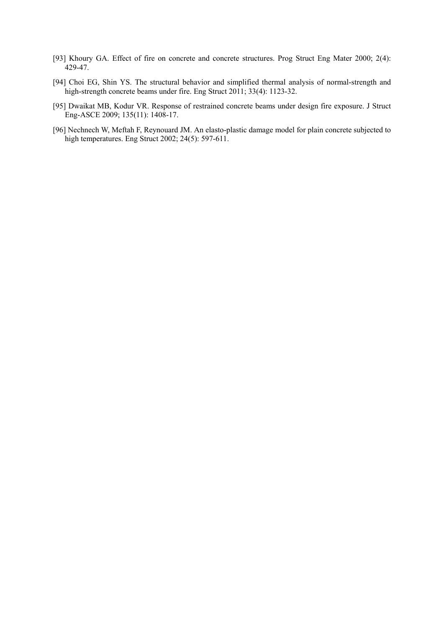- [93] Khoury GA. Effect of fire on concrete and concrete structures. Prog Struct Eng Mater 2000; 2(4): 429-47.
- [94] Choi EG, Shin YS. The structural behavior and simplified thermal analysis of normal-strength and high-strength concrete beams under fire. Eng Struct 2011; 33(4): 1123-32.
- [95] Dwaikat MB, Kodur VR. Response of restrained concrete beams under design fire exposure. J Struct Eng-ASCE 2009; 135(11): 1408-17.
- [96] Nechnech W, Meftah F, Reynouard JM. An elasto-plastic damage model for plain concrete subjected to high temperatures. Eng Struct 2002; 24(5): 597-611.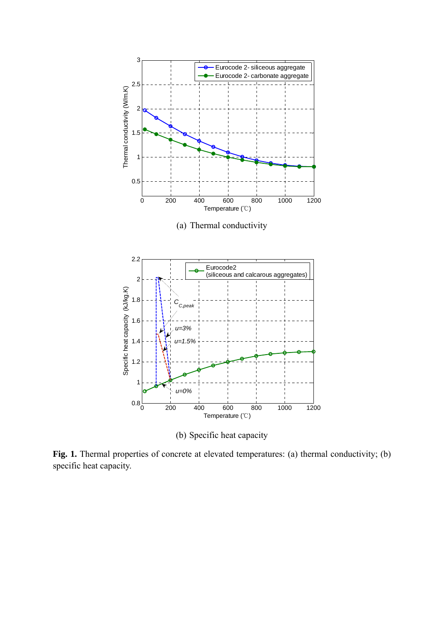

(b) Specific heat capacity

Fig. 1. Thermal properties of concrete at elevated temperatures: (a) thermal conductivity; (b) specific heat capacity.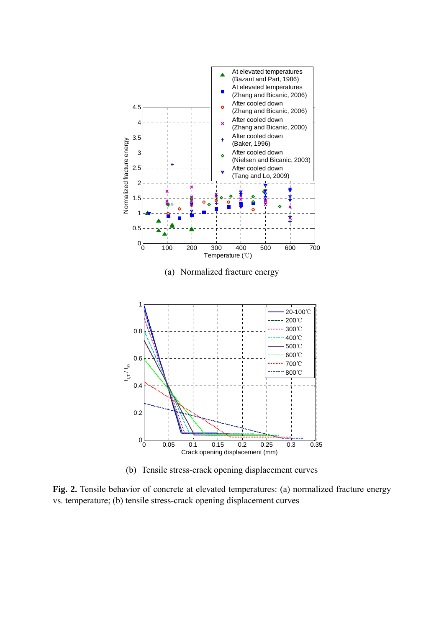

(b) Tensile stress-crack opening displacement curves

Fig. 2. Tensile behavior of concrete at elevated temperatures: (a) normalized fracture energy vs. temperature; (b) tensile stress-crack opening displacement curves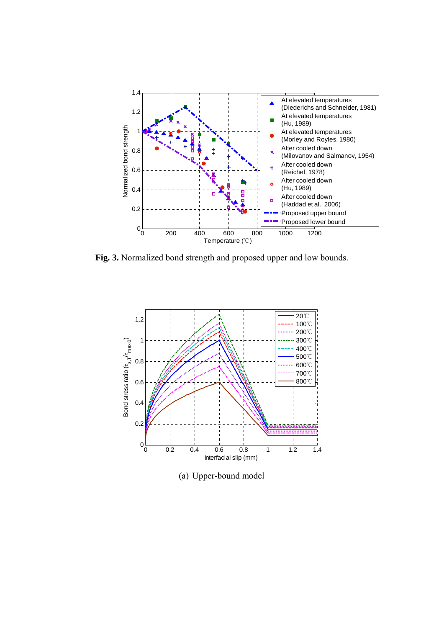

**Fig. 3.** Normalized bond strength and proposed upper and low bounds.



(a) Upper-bound model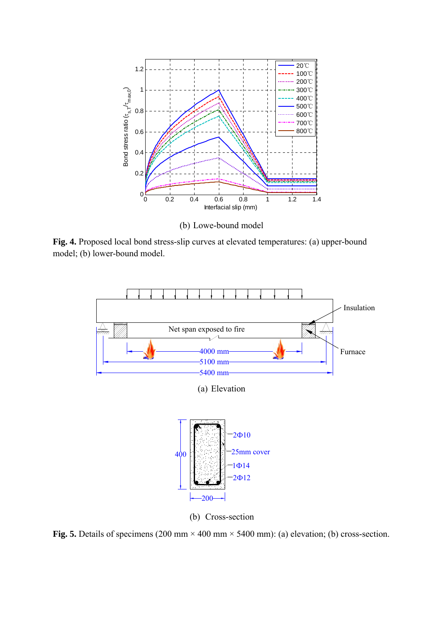

(b) Lowe-bound model

**Fig. 4.** Proposed local bond stress-slip curves at elevated temperatures: (a) upper-bound model; (b) lower-bound model.



(b) Cross-section

**Fig. 5.** Details of specimens (200 mm  $\times$  400 mm  $\times$  5400 mm): (a) elevation; (b) cross-section.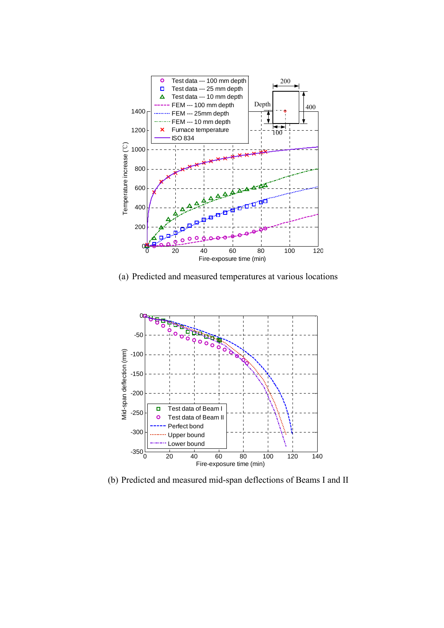

(a) Predicted and measured temperatures at various locations



(b) Predicted and measured mid-span deflections of Beams I and II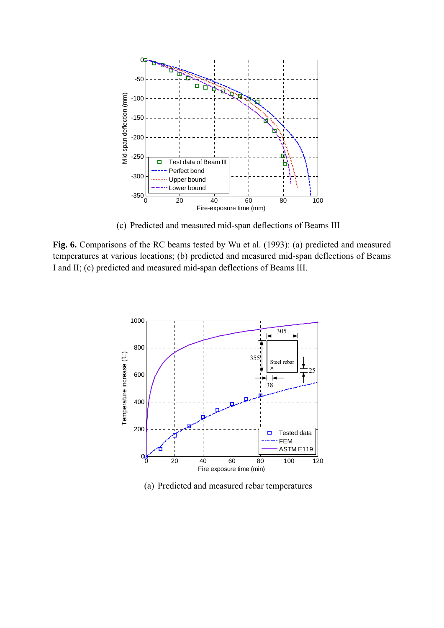

(c) Predicted and measured mid-span deflections of Beams III

Fig. 6. Comparisons of the RC beams tested by Wu et al. (1993): (a) predicted and measured temperatures at various locations; (b) predicted and measured mid-span deflections of Beams I and II; (c) predicted and measured mid-span deflections of Beams III.



(a) Predicted and measured rebar temperatures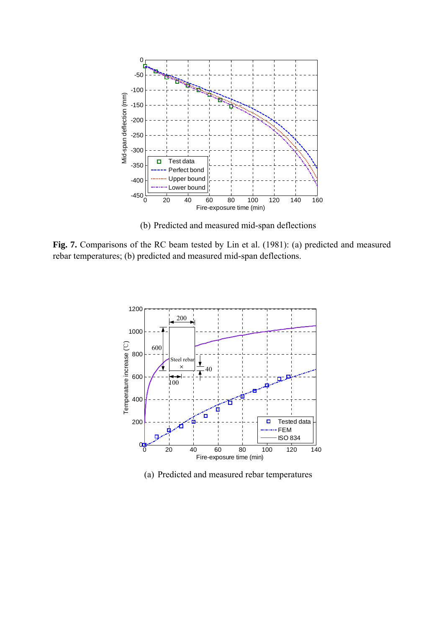

(b) Predicted and measured mid-span deflections

Fig. 7. Comparisons of the RC beam tested by Lin et al. (1981): (a) predicted and measured rebar temperatures; (b) predicted and measured mid-span deflections.



(a) Predicted and measured rebar temperatures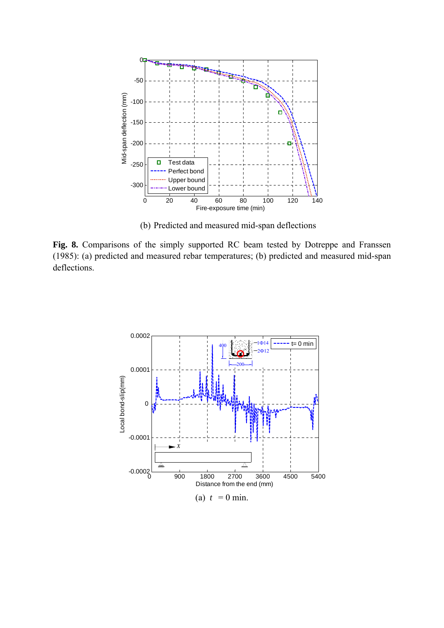

(b) Predicted and measured mid-span deflections

Fig. 8. Comparisons of the simply supported RC beam tested by Dotreppe and Franssen (1985): (a) predicted and measured rebar temperatures; (b) predicted and measured mid-span deflections.

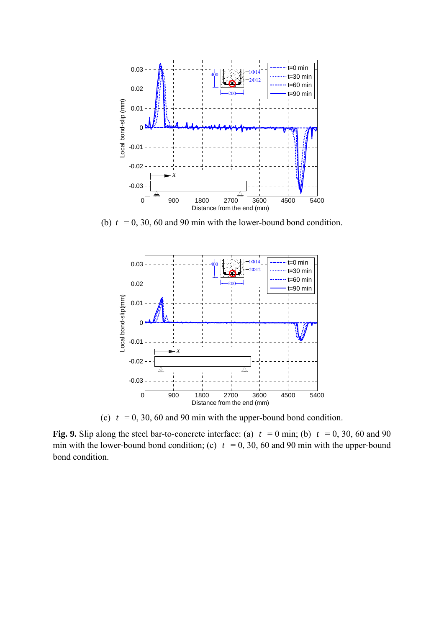

(b)  $t = 0$ , 30, 60 and 90 min with the lower-bound bond condition.



(c)  $t = 0$ , 30, 60 and 90 min with the upper-bound bond condition.

**Fig. 9.** Slip along the steel bar-to-concrete interface: (a)  $t = 0$  min; (b)  $t = 0$ , 30, 60 and 90 min with the lower-bound bond condition; (c)  $t = 0$ , 30, 60 and 90 min with the upper-bound bond condition.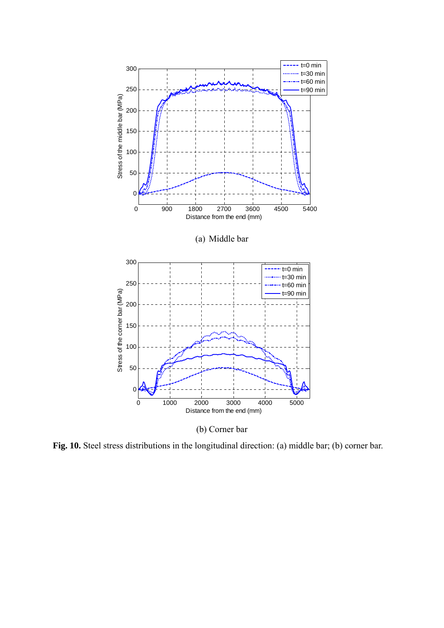

(b) Corner bar

**Fig. 10.** Steel stress distributions in the longitudinal direction: (a) middle bar; (b) corner bar.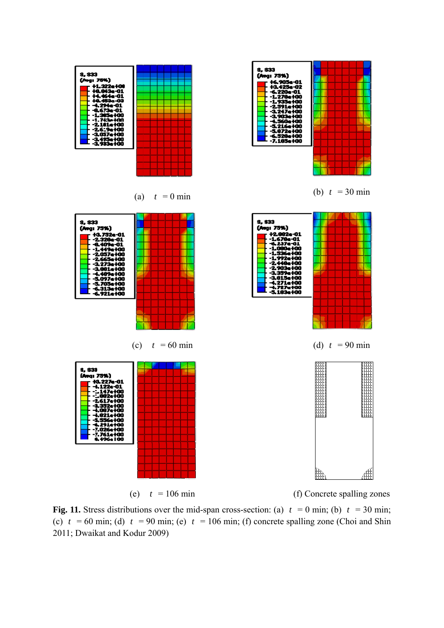

(e)  $t = 106$  min (f) Concrete spalling zones

**Fig. 11.** Stress distributions over the mid-span cross-section: (a)  $t = 0$  min; (b)  $t = 30$  min; (c)  $t = 60$  min; (d)  $t = 90$  min; (e)  $t = 106$  min; (f) concrete spalling zone (Choi and Shin 2011; Dwaikat and Kodur 2009)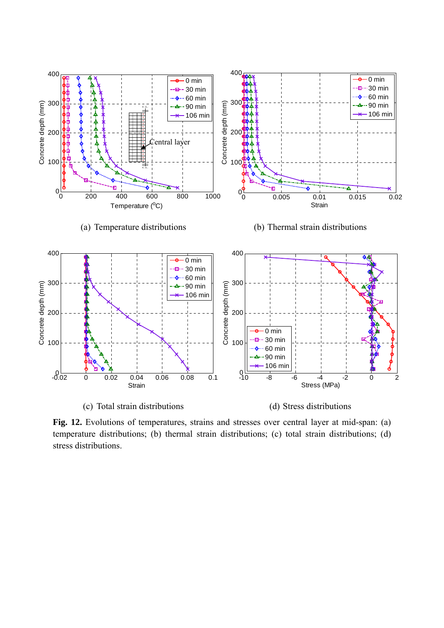

Fig. 12. Evolutions of temperatures, strains and stresses over central layer at mid-span: (a) temperature distributions; (b) thermal strain distributions; (c) total strain distributions; (d) stress distributions.